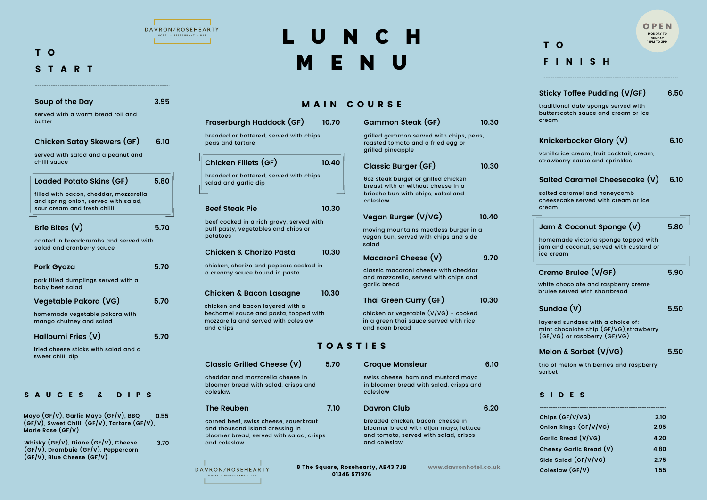**Coleslaw (GF/V) 1.55**

**Mayo (GF/V), Garlic Mayo (GF/V), BBQ (GF/V), Sweet Chilli (GF/V), Tartare (GF/V), Marie Rose (GF/V) 0.55**

**Whisky (GF/V), Diane (GF/V), Cheese (GF/V), Drambuie (GF/V), Peppercorn (GF/V), Blue Cheese (GF/V) 3.70**

## L U N C H M E N U

8 The Square, Rosehearty, AB43 7JB 01346 571976

www.davronhotel.co.uk

|                                                                                                                                                                     | <b>MAIN</b> | <b>COURSE</b>                                                                                                                                |    |
|---------------------------------------------------------------------------------------------------------------------------------------------------------------------|-------------|----------------------------------------------------------------------------------------------------------------------------------------------|----|
| Fraserburgh Haddock (GF)                                                                                                                                            | 10.70       | Gammon Steak (GF)                                                                                                                            | 10 |
| breaded or battered, served with chips,<br>peas and tartare                                                                                                         |             | grilled gammon served with chips, peas,<br>roasted tomato and a fried egg or<br>grilled pineapple                                            |    |
| Chicken Fillets (GF)<br>breaded or battered, served with chips,<br>salad and garlic dip                                                                             | 10.40       | <b>Classic Burger (GF)</b><br>6oz steak burger or grilled chicken<br>breast with or without cheese in a<br>brioche bun with chips, salad and |    |
| <b>Beef Steak Pie</b><br>beef cooked in a rich gravy, served with<br>puff pasty, vegetables and chips or<br>potatoes                                                | 10.30       | coleslaw<br>Vegan Burger (V/VG)<br>moving mountains meatless burger in a<br>vegan bun, served with chips and side                            | 10 |
| <b>Chicken &amp; Chorizo Pasta</b><br>chicken, chorizo and peppers cooked in<br>a creamy sauce bound in pasta                                                       | 10.30       | salad<br>Macaroni Cheese (V)<br>classic macaroni cheese with cheddar<br>and mozzarella, served with chips and                                |    |
| <b>Chicken &amp; Bacon Lasagne</b><br>chicken and bacon layered with a<br>bechamel sauce and pasta, topped with<br>mozzarella and served with coleslaw<br>and chips | 10.30       | garlic bread<br>Thai Green Curry (GF)<br>chicken or vegetable $(V/VG)$ - cooked<br>in a green thai sauce served with rice<br>and naan bread  | 10 |
|                                                                                                                                                                     |             | <b>TOASTIES</b>                                                                                                                              |    |
| <b>Classic Grilled Cheese (V)</b>                                                                                                                                   | ੮./ሀ        | <b>Croque Monsieur</b>                                                                                                                       |    |
| cheddar and mozzarella cheese in<br>bloomer bread with salad, crisps and<br>coleslaw                                                                                |             | swiss cheese, ham and mustard mayo<br>in bloomer bread with salad, crisps and<br>coleslaw                                                    |    |
| <b>The Reuben</b>                                                                                                                                                   | 7.10        | <b>Davron Club</b>                                                                                                                           |    |

| 3.95                                                                                                          |
|---------------------------------------------------------------------------------------------------------------|
| served with a warm bread roll and                                                                             |
| <b>Chicken Satay Skewers (GF)</b><br>6.10                                                                     |
| served with salad and a peanut and                                                                            |
| 5.80<br>Loaded Potato Skins (GF)                                                                              |
| filled with bacon, cheddar, mozzarella<br>and spring onion, served with salad,<br>sour cream and fresh chilli |
| 5.70                                                                                                          |
| coated in breadcrumbs and served with<br>salad and cranberry sauce                                            |
| 5.70                                                                                                          |
| pork filled dumplings served with a                                                                           |
| Vegetable Pakora (VG)<br>5.70                                                                                 |
| homemade vegetable pakora with<br>mango chutney and salad                                                     |
| 5.70                                                                                                          |
| fried cheese sticks with salad and a                                                                          |
|                                                                                                               |

**10.30**

**9.70**

**10.30**

**10.40**

**10.30**

|                         |     |      |  |       |  |                                                                                                              |  | MONDAY TO<br><b>SUNDAY</b><br>12PM TO 2PM |      |      |  |
|-------------------------|-----|------|--|-------|--|--------------------------------------------------------------------------------------------------------------|--|-------------------------------------------|------|------|--|
|                         | T O |      |  |       |  |                                                                                                              |  |                                           |      |      |  |
| F                       |     |      |  | INISH |  |                                                                                                              |  |                                           |      |      |  |
|                         |     |      |  |       |  | Sticky Toffee Pudding (V/GF)                                                                                 |  |                                           |      | 6.50 |  |
| cream                   |     |      |  |       |  | traditional date sponge served with<br>butterscotch sauce and cream or ice                                   |  |                                           |      |      |  |
|                         |     |      |  |       |  | Knickerbocker Glory (V)                                                                                      |  |                                           |      | 6.10 |  |
|                         |     |      |  |       |  | vanilla ice cream, fruit cocktail, cream,<br>strawberry sauce and sprinkles                                  |  |                                           |      |      |  |
|                         |     |      |  |       |  | Salted Caramel Cheesecake (V)                                                                                |  |                                           |      | 6.10 |  |
| cream                   |     |      |  |       |  | salted caramel and honeycomb<br>cheesecake served with cream or ice                                          |  |                                           |      |      |  |
|                         |     |      |  |       |  | Jam & Coconut Sponge (V)                                                                                     |  |                                           |      | 5.80 |  |
| ice cream               |     |      |  |       |  | homemade victoria sponge topped with<br>jam and coconut, served with custard or                              |  |                                           |      |      |  |
| Creme Brulee (V/GF)     |     |      |  |       |  |                                                                                                              |  |                                           |      | 5.90 |  |
|                         |     |      |  |       |  | white chocolate and raspberry creme<br>brulee served with shortbread                                         |  |                                           |      |      |  |
| Sundae $(V)$            |     |      |  |       |  |                                                                                                              |  |                                           |      | 5.50 |  |
|                         |     |      |  |       |  | layered sundaes with a choice of:<br>mint chocolate chip (GF/VG), strawberry<br>(GF/VG) or raspberry (GF/VG) |  |                                           |      |      |  |
| Melon & Sorbet (V/VG)   |     |      |  |       |  |                                                                                                              |  |                                           |      | 5.50 |  |
| sorbet                  |     |      |  |       |  | trio of melon with berries and raspberry                                                                     |  |                                           |      |      |  |
| S                       |     | IDES |  |       |  |                                                                                                              |  |                                           |      |      |  |
| Chips (GF/V/VG)         |     |      |  |       |  |                                                                                                              |  |                                           | 2.10 |      |  |
| Onion Rings (GF/V/VG)   |     |      |  |       |  |                                                                                                              |  |                                           | 2.95 |      |  |
| Garlic Bread (V/VG)     |     |      |  |       |  |                                                                                                              |  |                                           | 4.20 |      |  |
| Cheesy Garlic Bread (V) |     |      |  |       |  |                                                                                                              |  |                                           | 4.80 |      |  |
| Side Salad (GF/V/VG)    |     |      |  |       |  |                                                                                                              |  |                                           | 2.75 |      |  |

corned beef, swiss cheese, sauerkraut and thousand island dressing in bloomer bread, served with salad, crisps and coleslaw



breaded chicken, bacon, cheese in bloomer bread with dijon mayo, lettuce and tomato, served with salad, crisps

and coleslaw

**6.10**

**6.20**



## T O S T A R T